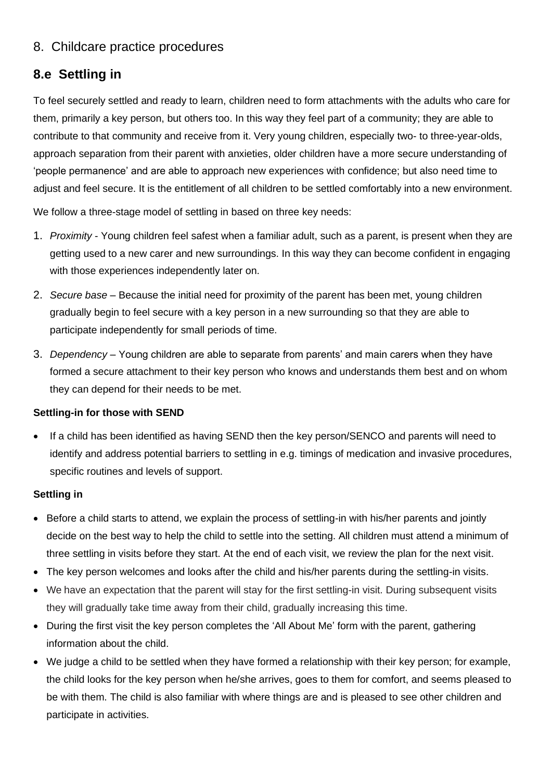## 8. Childcare practice procedures

# **8.e Settling in**

To feel securely settled and ready to learn, children need to form attachments with the adults who care for them, primarily a key person, but others too. In this way they feel part of a community; they are able to contribute to that community and receive from it. Very young children, especially two- to three-year-olds, approach separation from their parent with anxieties, older children have a more secure understanding of 'people permanence' and are able to approach new experiences with confidence; but also need time to adjust and feel secure. It is the entitlement of all children to be settled comfortably into a new environment.

We follow a three-stage model of settling in based on three key needs:

- 1. *Proximity* Young children feel safest when a familiar adult, such as a parent, is present when they are getting used to a new carer and new surroundings. In this way they can become confident in engaging with those experiences independently later on.
- 2. *Secure base* Because the initial need for proximity of the parent has been met, young children gradually begin to feel secure with a key person in a new surrounding so that they are able to participate independently for small periods of time.
- 3. *Dependency* Young children are able to separate from parents' and main carers when they have formed a secure attachment to their key person who knows and understands them best and on whom they can depend for their needs to be met.

### **Settling-in for those with SEND**

If a child has been identified as having SEND then the key person/SENCO and parents will need to identify and address potential barriers to settling in e.g. timings of medication and invasive procedures, specific routines and levels of support.

### **Settling in**

- Before a child starts to attend, we explain the process of settling-in with his/her parents and jointly decide on the best way to help the child to settle into the setting. All children must attend a minimum of three settling in visits before they start. At the end of each visit, we review the plan for the next visit.
- The key person welcomes and looks after the child and his/her parents during the settling-in visits.
- We have an expectation that the parent will stay for the first settling-in visit. During subsequent visits they will gradually take time away from their child, gradually increasing this time.
- During the first visit the key person completes the 'All About Me' form with the parent, gathering information about the child.
- We judge a child to be settled when they have formed a relationship with their key person; for example, the child looks for the key person when he/she arrives, goes to them for comfort, and seems pleased to be with them. The child is also familiar with where things are and is pleased to see other children and participate in activities.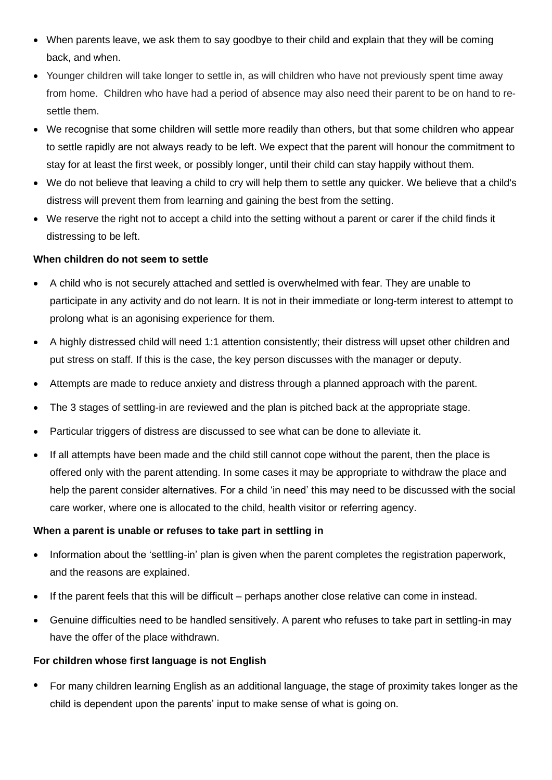- When parents leave, we ask them to say goodbye to their child and explain that they will be coming back, and when.
- Younger children will take longer to settle in, as will children who have not previously spent time away from home. Children who have had a period of absence may also need their parent to be on hand to resettle them.
- We recognise that some children will settle more readily than others, but that some children who appear to settle rapidly are not always ready to be left. We expect that the parent will honour the commitment to stay for at least the first week, or possibly longer, until their child can stay happily without them.
- We do not believe that leaving a child to cry will help them to settle any quicker. We believe that a child's distress will prevent them from learning and gaining the best from the setting.
- We reserve the right not to accept a child into the setting without a parent or carer if the child finds it distressing to be left.

### **When children do not seem to settle**

- A child who is not securely attached and settled is overwhelmed with fear. They are unable to participate in any activity and do not learn. It is not in their immediate or long-term interest to attempt to prolong what is an agonising experience for them.
- A highly distressed child will need 1:1 attention consistently; their distress will upset other children and put stress on staff. If this is the case, the key person discusses with the manager or deputy.
- Attempts are made to reduce anxiety and distress through a planned approach with the parent.
- The 3 stages of settling-in are reviewed and the plan is pitched back at the appropriate stage.
- Particular triggers of distress are discussed to see what can be done to alleviate it.
- If all attempts have been made and the child still cannot cope without the parent, then the place is offered only with the parent attending. In some cases it may be appropriate to withdraw the place and help the parent consider alternatives. For a child 'in need' this may need to be discussed with the social care worker, where one is allocated to the child, health visitor or referring agency.

### **When a parent is unable or refuses to take part in settling in**

- Information about the 'settling-in' plan is given when the parent completes the registration paperwork, and the reasons are explained.
- If the parent feels that this will be difficult perhaps another close relative can come in instead.
- Genuine difficulties need to be handled sensitively. A parent who refuses to take part in settling-in may have the offer of the place withdrawn.

### **For children whose first language is not English**

• For many children learning English as an additional language, the stage of proximity takes longer as the child is dependent upon the parents' input to make sense of what is going on.